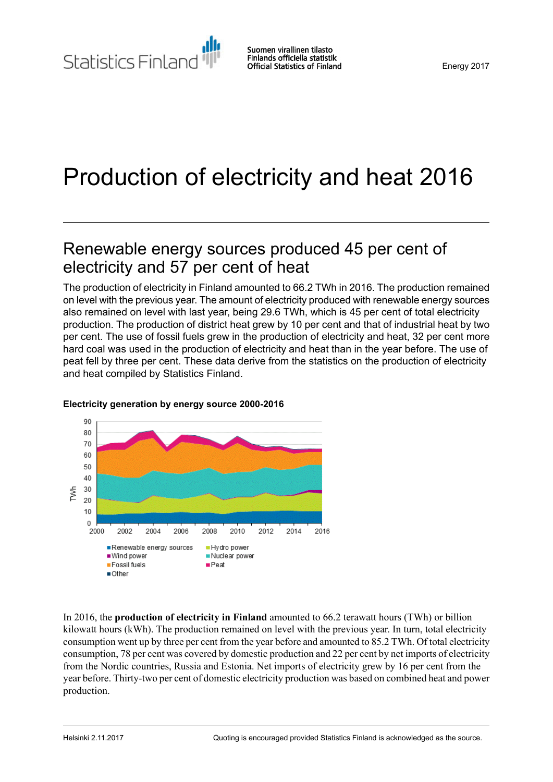# Production of electricity and heat 2016

## Renewable energy sources produced 45 per cent of electricity and 57 per cent of heat

The production of electricity in Finland amounted to 66.2 TWh in 2016. The production remained on level with the previous year. The amount of electricity produced with renewable energy sources also remained on level with last year, being 29.6 TWh, which is 45 per cent of total electricity production. The production of district heat grew by 10 per cent and that of industrial heat by two per cent. The use of fossil fuels grew in the production of electricity and heat, 32 per cent more hard coal was used in the production of electricity and heat than in the year before. The use of peat fell by three per cent. These data derive from the statistics on the production of electricity and heat compiled by Statistics Finland.



### **Electricity generation by energy source 2000-2016**

In 2016, the **production of electricity in Finland** amounted to 66.2 terawatt hours (TWh) or billion kilowatt hours (kWh). The production remained on level with the previous year. In turn, total electricity consumption went up by three per cent from the year before and amounted to 85.2 TWh. Of total electricity consumption, 78 per cent was covered by domestic production and 22 per cent by net imports of electricity from the Nordic countries, Russia and Estonia. Net imports of electricity grew by 16 per cent from the year before. Thirty-two per cent of domestic electricity production was based on combined heat and power production.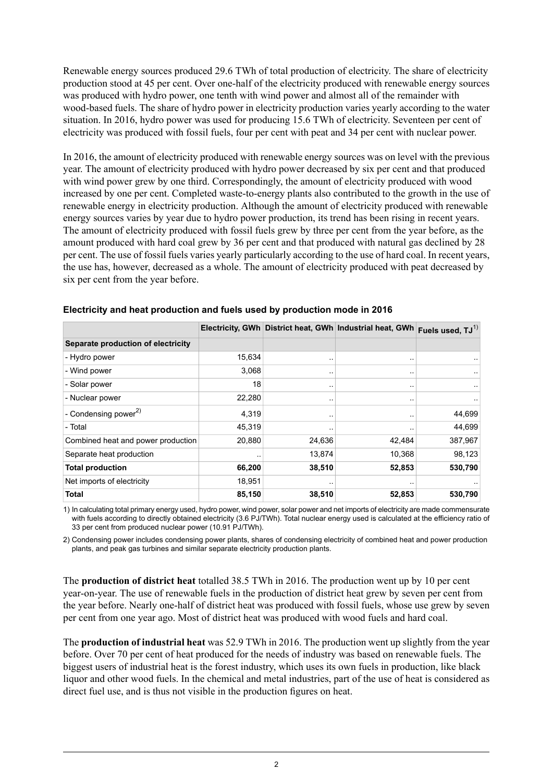Renewable energy sources produced 29.6 TWh of total production of electricity. The share of electricity production stood at 45 per cent. Over one-half of the electricity produced with renewable energy sources was produced with hydro power, one tenth with wind power and almost all of the remainder with wood-based fuels. The share of hydro power in electricity production varies yearly according to the water situation. In 2016, hydro power was used for producing 15.6 TWh of electricity. Seventeen per cent of electricity was produced with fossil fuels, four per cent with peat and 34 per cent with nuclear power.

In 2016, the amount of electricity produced with renewable energy sources was on level with the previous year. The amount of electricity produced with hydro power decreased by six per cent and that produced with wind power grew by one third. Correspondingly, the amount of electricity produced with wood increased by one per cent. Completed waste-to-energy plants also contributed to the growth in the use of renewable energy in electricity production. Although the amount of electricity produced with renewable energy sources varies by year due to hydro power production, its trend has been rising in recent years. The amount of electricity produced with fossil fuels grew by three per cent from the year before, as the amount produced with hard coal grew by 36 per cent and that produced with natural gas declined by 28 per cent. The use of fossil fuels varies yearly particularly according to the use of hard coal. In recent years, the use has, however, decreased as a whole. The amount of electricity produced with peat decreased by six per cent from the year before.

|                                    |        |                      | Electricity, GWh District heat, GWh Industrial heat, GWh | Fuels used, $TJ^{(1)}$ |
|------------------------------------|--------|----------------------|----------------------------------------------------------|------------------------|
| Separate production of electricity |        |                      |                                                          |                        |
| - Hydro power                      | 15,634 | $\cdot$ .            |                                                          |                        |
| - Wind power                       | 3,068  | $\ddot{\phantom{a}}$ |                                                          |                        |
| - Solar power                      | 18     | $\sim$ $\sim$        |                                                          |                        |
| - Nuclear power                    | 22,280 | $\cdot$ .            | $\sim$                                                   |                        |
| - Condensing power $^{2)}$         | 4,319  | $\cdot$ .            |                                                          | 44,699                 |
| - Total                            | 45,319 | $\cdot$ .            |                                                          | 44,699                 |
| Combined heat and power production | 20,880 | 24,636               | 42,484                                                   | 387,967                |
| Separate heat production           | $\sim$ | 13,874               | 10,368                                                   | 98,123                 |
| <b>Total production</b>            | 66,200 | 38,510               | 52,853                                                   | 530,790                |
| Net imports of electricity         | 18,951 | $\cdot$ .            | $\sim$                                                   |                        |
| Total                              | 85,150 | 38,510               | 52,853                                                   | 530,790                |

|  |  |  | Electricity and heat production and fuels used by production mode in 2016 |
|--|--|--|---------------------------------------------------------------------------|
|--|--|--|---------------------------------------------------------------------------|

1) In calculating total primary energy used, hydro power, wind power, solar power and net imports of electricity are made commensurate with fuels according to directly obtained electricity (3.6 PJ/TWh). Total nuclear energy used is calculated at the efficiency ratio of 33 per cent from produced nuclear power (10.91 PJ/TWh).

2) Condensing power includes condensing power plants, shares of condensing electricity of combined heat and power production plants, and peak gas turbines and similar separate electricity production plants.

The **production of district heat** totalled 38.5 TWh in 2016. The production went up by 10 per cent year-on-year. The use of renewable fuels in the production of district heat grew by seven per cent from the year before. Nearly one-half of district heat was produced with fossil fuels, whose use grew by seven per cent from one year ago. Most of district heat was produced with wood fuels and hard coal.

The **production of industrial heat** was 52.9 TWh in 2016. The production went up slightly from the year before. Over 70 per cent of heat produced for the needs of industry was based on renewable fuels. The biggest users of industrial heat is the forest industry, which uses its own fuels in production, like black liquor and other wood fuels. In the chemical and metal industries, part of the use of heat is considered as direct fuel use, and is thus not visible in the production figures on heat.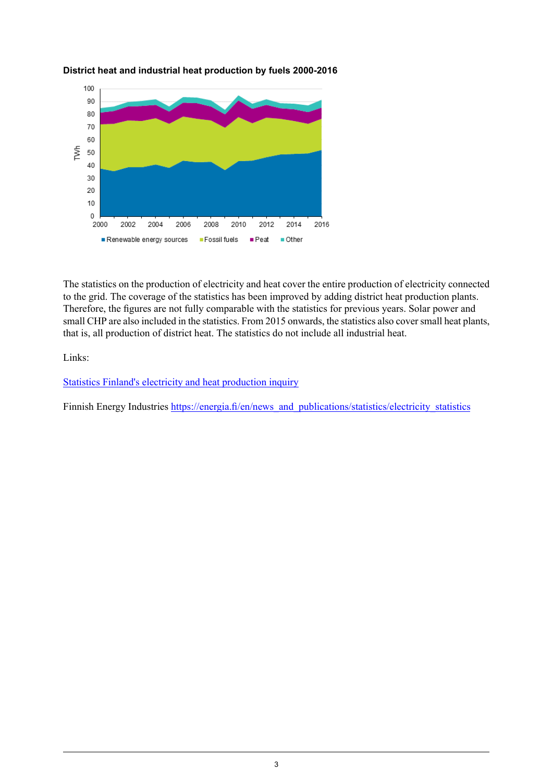

### **District heat and industrial heat production by fuels 2000-2016**

The statistics on the production of electricity and heat cover the entire production of electricity connected to the grid. The coverage of the statistics has been improved by adding district heat production plants. Therefore, the figures are not fully comparable with the statistics for previous years. Solar power and small CHP are also included in the statistics. From 2015 onwards, the statistics also cover small heat plants, that is, all production of district heat. The statistics do not include all industrial heat.

Links:

Statistics Finland's electricity and heat [production](http://www.stat.fi/keruu/ene/) inquiry

Finnish Energy Industries [https://energia.fi/en/news\\_and\\_publications/statistics/electricity\\_statistics](https://energia.fi/en/news_and_publications/statistics/electricity_statistics)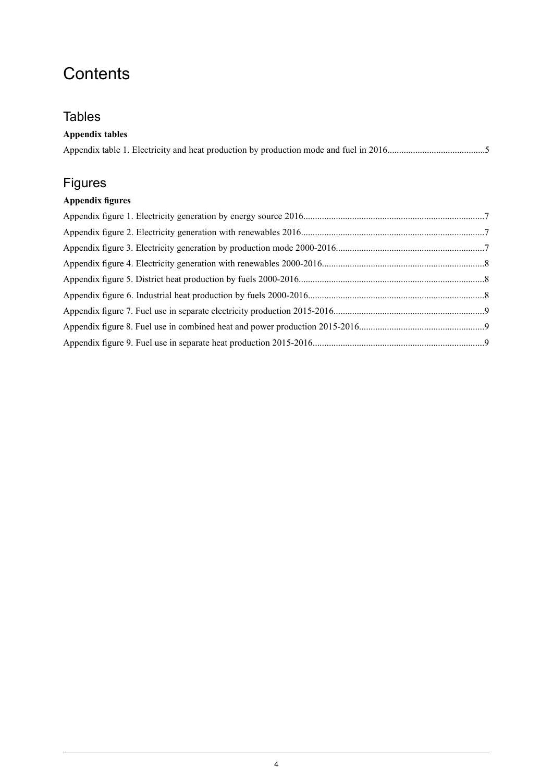## **Contents**

### **Tables**

### **Appendix tables**

### Figures

### **Appendix figures**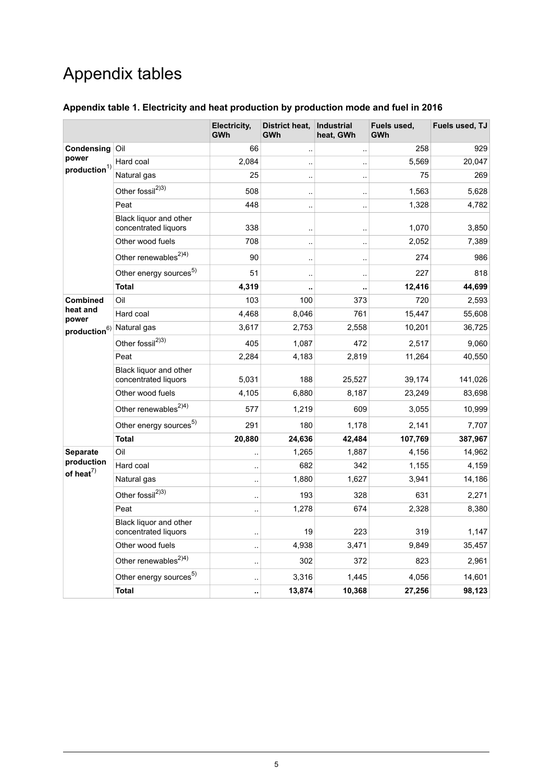## Appendix tables

### <span id="page-4-0"></span>**Appendix table 1. Electricity and heat production by production mode and fuel in 2016**

|                                                       |                                                | Electricity,<br><b>GWh</b> | District heat,<br><b>GWh</b> | <b>Industrial</b><br>heat, GWh | Fuels used,<br>GWh | Fuels used, TJ |
|-------------------------------------------------------|------------------------------------------------|----------------------------|------------------------------|--------------------------------|--------------------|----------------|
| Condensing<br>power<br>$\boldsymbol{production}^{1)}$ | Oil                                            | 66                         | $\ddot{\phantom{a}}$         | $\mathcal{L}_{\mathcal{A}}$    | 258                | 929            |
|                                                       | Hard coal                                      | 2,084                      | Ξ.                           | à.                             | 5,569              | 20,047         |
|                                                       | Natural gas                                    | 25                         | $\ddotsc$                    | $\ddot{\phantom{a}}$           | 75                 | 269            |
|                                                       | Other fossil <sup>2)3)</sup>                   | 508                        | $\ddot{\phantom{a}}$         | $\ddot{\phantom{0}}$           | 1,563              | 5,628          |
|                                                       | Peat                                           | 448                        | $\ddot{\phantom{a}}$         | $\ddot{\phantom{0}}$           | 1,328              | 4,782          |
|                                                       | Black liquor and other<br>concentrated liquors | 338                        |                              | $\ddotsc$                      | 1,070              | 3,850          |
|                                                       | Other wood fuels                               | 708                        | $\ddot{\phantom{a}}$         | $\ddot{\phantom{a}}$           | 2,052              | 7,389          |
|                                                       | Other renewables <sup>2)4)</sup>               | 90                         | $\ddot{\phantom{a}}$         | $\ddot{\phantom{a}}$           | 274                | 986            |
|                                                       | Other energy sources <sup>5)</sup>             | 51                         | $\ddot{\phantom{a}}$         | $\ddot{\phantom{a}}$           | 227                | 818            |
|                                                       | <b>Total</b>                                   | 4,319                      | ٠.                           |                                | 12,416             | 44,699         |
| <b>Combined</b>                                       | Oil                                            | 103                        | 100                          | 373                            | 720                | 2,593          |
| heat and<br>power                                     | Hard coal                                      | 4,468                      | 8,046                        | 761                            | 15,447             | 55,608         |
| production <sup>6) Natural gas</sup>                  |                                                | 3,617                      | 2,753                        | 2,558                          | 10,201             | 36,725         |
|                                                       | Other fossil <sup>2)3)</sup>                   | 405                        | 1,087                        | 472                            | 2,517              | 9,060          |
|                                                       | Peat                                           | 2,284                      | 4,183                        | 2,819                          | 11,264             | 40,550         |
|                                                       | Black liquor and other<br>concentrated liquors | 5,031                      | 188                          | 25,527                         | 39,174             | 141,026        |
|                                                       | Other wood fuels                               | 4,105                      | 6,880                        | 8,187                          | 23,249             | 83,698         |
|                                                       | Other renewables <sup>2)4)</sup>               | 577                        | 1,219                        | 609                            | 3,055              | 10,999         |
|                                                       | Other energy sources <sup>5)</sup>             | 291                        | 180                          | 1,178                          | 2,141              | 7,707          |
|                                                       | <b>Total</b>                                   | 20,880                     | 24,636                       | 42,484                         | 107,769            | 387,967        |
| Separate                                              | Oil                                            | ä,                         | 1,265                        | 1,887                          | 4,156              | 14,962         |
| production<br>of heat $^{7)}$                         | Hard coal                                      |                            | 682                          | 342                            | 1,155              | 4,159          |
|                                                       | Natural gas                                    | $\ddot{\phantom{a}}$       | 1,880                        | 1,627                          | 3,941              | 14,186         |
|                                                       | Other fossil <sup>2)3)</sup>                   |                            | 193                          | 328                            | 631                | 2,271          |
|                                                       | Peat                                           |                            | 1,278                        | 674                            | 2,328              | 8,380          |
|                                                       | Black liquor and other<br>concentrated liquors |                            | 19                           | 223                            | 319                | 1,147          |
|                                                       | Other wood fuels                               |                            | 4,938                        | 3,471                          | 9,849              | 35,457         |
|                                                       | Other renewables <sup>2)4)</sup>               | ä.                         | 302                          | 372                            | 823                | 2,961          |
|                                                       | Other energy sources <sup>5)</sup>             |                            | 3,316                        | 1,445                          | 4,056              | 14,601         |
|                                                       | <b>Total</b>                                   |                            | 13,874                       | 10,368                         | 27,256             | 98,123         |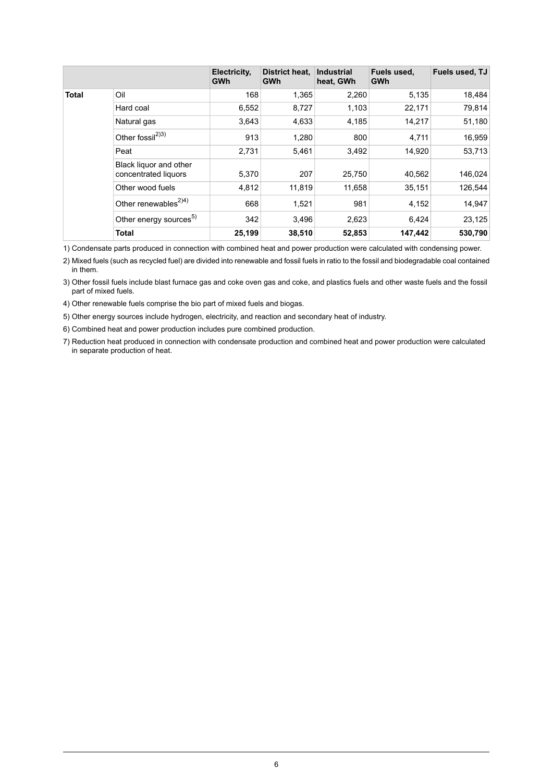|              |                                                | Electricity.<br><b>GWh</b> | District heat.<br><b>GWh</b> | <b>Industrial</b><br>heat, GWh | Fuels used,<br><b>GWh</b> | Fuels used, TJ |
|--------------|------------------------------------------------|----------------------------|------------------------------|--------------------------------|---------------------------|----------------|
| <b>Total</b> | Oil                                            | 168                        | 1,365                        | 2,260                          | 5,135                     | 18,484         |
|              | Hard coal                                      | 6,552                      | 8,727                        | 1,103                          | 22,171                    | 79,814         |
|              | Natural gas                                    | 3,643                      | 4,633                        | 4,185                          | 14,217                    | 51,180         |
|              | Other fossil <sup>2)3)</sup>                   | 913                        | 1,280                        | 800                            | 4,711                     | 16,959         |
|              | Peat                                           | 2,731                      | 5,461                        | 3,492                          | 14,920                    | 53,713         |
|              | Black liquor and other<br>concentrated liquors | 5,370                      | 207                          | 25,750                         | 40,562                    | 146,024        |
|              | Other wood fuels                               | 4,812                      | 11,819                       | 11,658                         | 35,151                    | 126,544        |
|              | Other renewables <sup><math>2)4)</math></sup>  | 668                        | 1,521                        | 981                            | 4,152                     | 14,947         |
|              | Other energy sources <sup>5)</sup>             | 342                        | 3,496                        | 2,623                          | 6,424                     | 23,125         |
|              | <b>Total</b>                                   | 25,199                     | 38,510                       | 52,853                         | 147,442                   | 530,790        |

1) Condensate parts produced in connection with combined heat and power production were calculated with condensing power.

Mixed fuels (such as recycled fuel) are divided into renewable and fossil fuels in ratio to the fossil and biodegradable coal contained 2) in them.

Other fossil fuels include blast furnace gas and coke oven gas and coke, and plastics fuels and other waste fuels and the fossil 3) part of mixed fuels.

4) Other renewable fuels comprise the bio part of mixed fuels and biogas.

5) Other energy sources include hydrogen, electricity, and reaction and secondary heat of industry.

6) Combined heat and power production includes pure combined production.

7) Reduction heat produced in connection with condensate production and combined heat and power production were calculated in separate production of heat.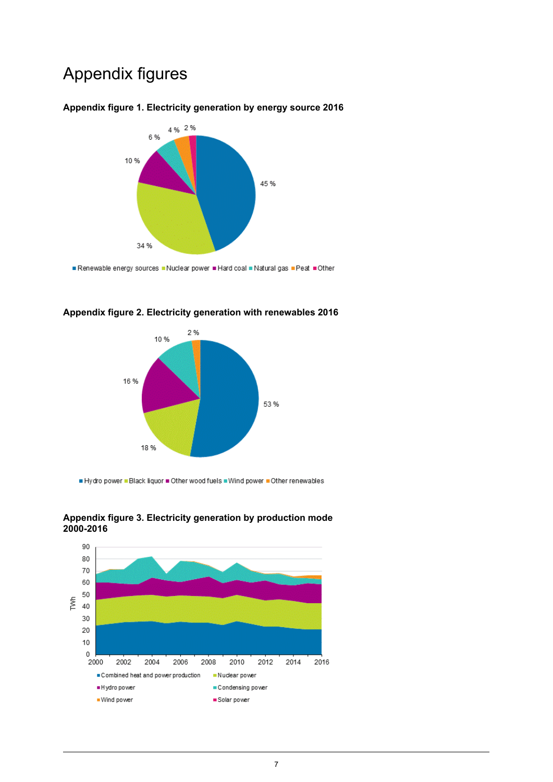## Appendix figures



#### <span id="page-6-0"></span>**Appendix figure 1. Electricity generation by energy source 2016**

<span id="page-6-1"></span>Renewable energy sources .Nuclear power .Hard coal .Natural gas .Peat .Other



#### **Appendix figure 2. Electricity generation with renewables 2016**

<span id="page-6-2"></span>Hydro power . Black liquor . Other wood fuels . Wind power . Other renewables



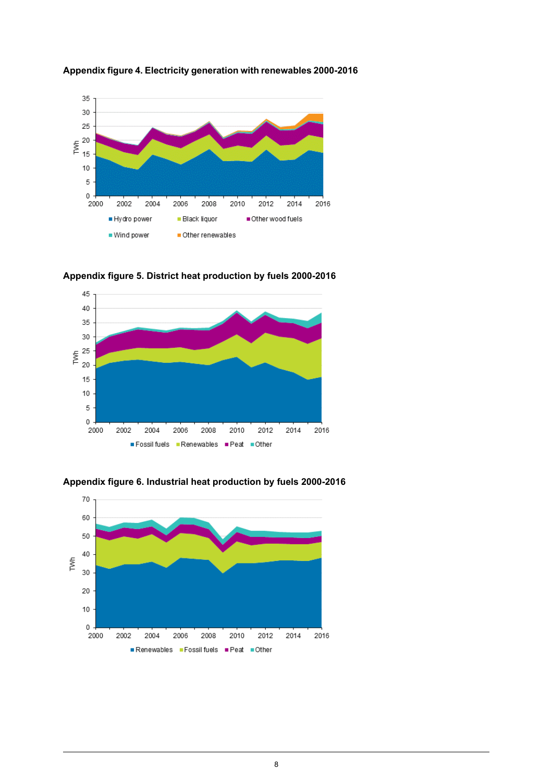

<span id="page-7-0"></span>

<span id="page-7-1"></span>





<span id="page-7-2"></span>**Appendix figure 6. Industrial heat production by fuels 2000-2016**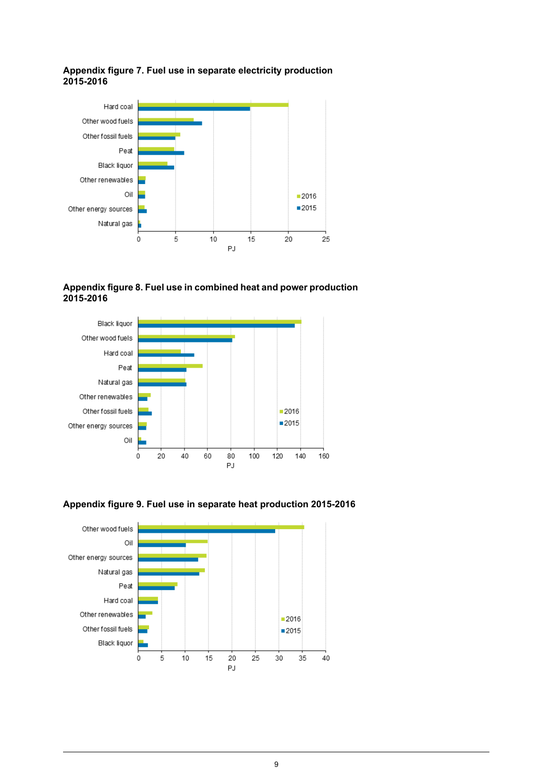#### <span id="page-8-0"></span>**Appendix figure 7. Fuel use in separate electricity production 2015-2016**



#### <span id="page-8-1"></span>**Appendix figure 8. Fuel use in combined heat and power production 2015-2016**



<span id="page-8-2"></span>